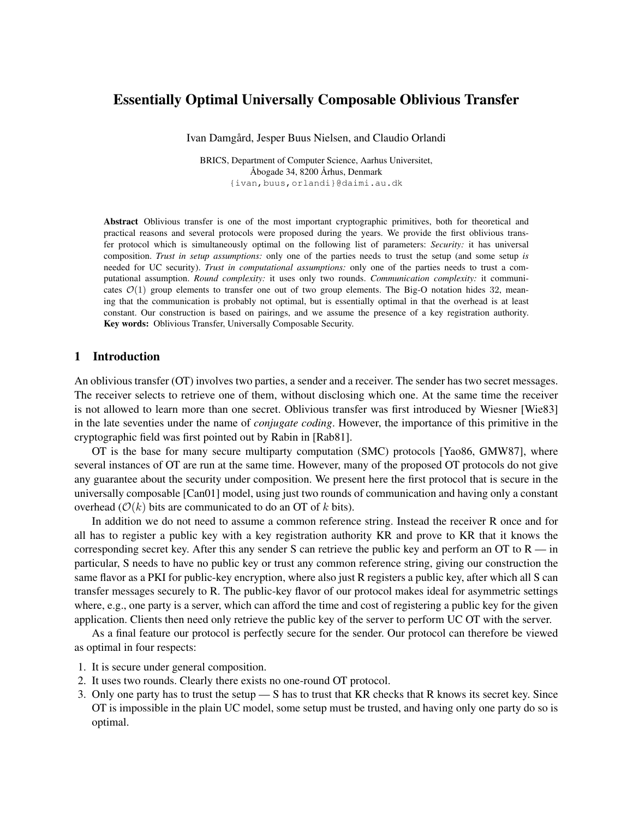# Essentially Optimal Universally Composable Oblivious Transfer

Ivan Damgård, Jesper Buus Nielsen, and Claudio Orlandi

BRICS, Department of Computer Science, Aarhus Universitet, Åbogade 34, 8200 Århus, Denmark {ivan,buus,orlandi}@daimi.au.dk

Abstract Oblivious transfer is one of the most important cryptographic primitives, both for theoretical and practical reasons and several protocols were proposed during the years. We provide the first oblivious transfer protocol which is simultaneously optimal on the following list of parameters: *Security:* it has universal composition. *Trust in setup assumptions:* only one of the parties needs to trust the setup (and some setup *is* needed for UC security). *Trust in computational assumptions:* only one of the parties needs to trust a computational assumption. *Round complexity:* it uses only two rounds. *Communication complexity:* it communicates  $\mathcal{O}(1)$  group elements to transfer one out of two group elements. The Big-O notation hides 32, meaning that the communication is probably not optimal, but is essentially optimal in that the overhead is at least constant. Our construction is based on pairings, and we assume the presence of a key registration authority. Key words: Oblivious Transfer, Universally Composable Security.

# 1 Introduction

An oblivious transfer (OT) involves two parties, a sender and a receiver. The sender has two secret messages. The receiver selects to retrieve one of them, without disclosing which one. At the same time the receiver is not allowed to learn more than one secret. Oblivious transfer was first introduced by Wiesner [Wie83] in the late seventies under the name of *conjugate coding*. However, the importance of this primitive in the cryptographic field was first pointed out by Rabin in [Rab81].

OT is the base for many secure multiparty computation (SMC) protocols [Yao86, GMW87], where several instances of OT are run at the same time. However, many of the proposed OT protocols do not give any guarantee about the security under composition. We present here the first protocol that is secure in the universally composable [Can01] model, using just two rounds of communication and having only a constant overhead ( $\mathcal{O}(k)$  bits are communicated to do an OT of k bits).

In addition we do not need to assume a common reference string. Instead the receiver R once and for all has to register a public key with a key registration authority KR and prove to KR that it knows the corresponding secret key. After this any sender S can retrieve the public key and perform an OT to  $R$  — in particular, S needs to have no public key or trust any common reference string, giving our construction the same flavor as a PKI for public-key encryption, where also just R registers a public key, after which all S can transfer messages securely to R. The public-key flavor of our protocol makes ideal for asymmetric settings where, e.g., one party is a server, which can afford the time and cost of registering a public key for the given application. Clients then need only retrieve the public key of the server to perform UC OT with the server.

As a final feature our protocol is perfectly secure for the sender. Our protocol can therefore be viewed as optimal in four respects:

- 1. It is secure under general composition.
- 2. It uses two rounds. Clearly there exists no one-round OT protocol.
- 3. Only one party has to trust the setup S has to trust that KR checks that R knows its secret key. Since OT is impossible in the plain UC model, some setup must be trusted, and having only one party do so is optimal.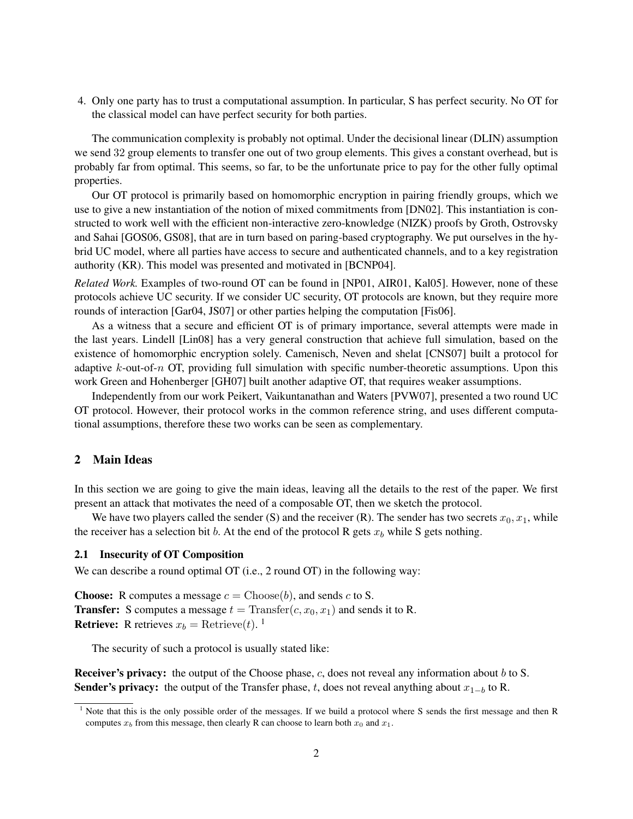4. Only one party has to trust a computational assumption. In particular, S has perfect security. No OT for the classical model can have perfect security for both parties.

The communication complexity is probably not optimal. Under the decisional linear (DLIN) assumption we send 32 group elements to transfer one out of two group elements. This gives a constant overhead, but is probably far from optimal. This seems, so far, to be the unfortunate price to pay for the other fully optimal properties.

Our OT protocol is primarily based on homomorphic encryption in pairing friendly groups, which we use to give a new instantiation of the notion of mixed commitments from [DN02]. This instantiation is constructed to work well with the efficient non-interactive zero-knowledge (NIZK) proofs by Groth, Ostrovsky and Sahai [GOS06, GS08], that are in turn based on paring-based cryptography. We put ourselves in the hybrid UC model, where all parties have access to secure and authenticated channels, and to a key registration authority (KR). This model was presented and motivated in [BCNP04].

*Related Work.* Examples of two-round OT can be found in [NP01, AIR01, Kal05]. However, none of these protocols achieve UC security. If we consider UC security, OT protocols are known, but they require more rounds of interaction [Gar04, JS07] or other parties helping the computation [Fis06].

As a witness that a secure and efficient OT is of primary importance, several attempts were made in the last years. Lindell [Lin08] has a very general construction that achieve full simulation, based on the existence of homomorphic encryption solely. Camenisch, Neven and shelat [CNS07] built a protocol for adaptive  $k$ -out-of-n OT, providing full simulation with specific number-theoretic assumptions. Upon this work Green and Hohenberger [GH07] built another adaptive OT, that requires weaker assumptions.

Independently from our work Peikert, Vaikuntanathan and Waters [PVW07], presented a two round UC OT protocol. However, their protocol works in the common reference string, and uses different computational assumptions, therefore these two works can be seen as complementary.

# 2 Main Ideas

In this section we are going to give the main ideas, leaving all the details to the rest of the paper. We first present an attack that motivates the need of a composable OT, then we sketch the protocol.

We have two players called the sender (S) and the receiver (R). The sender has two secrets  $x_0, x_1$ , while the receiver has a selection bit b. At the end of the protocol R gets  $x_b$  while S gets nothing.

# 2.1 Insecurity of OT Composition

We can describe a round optimal OT (i.e., 2 round OT) in the following way:

**Choose:** R computes a message  $c = \text{Choose}(b)$ , and sends c to S. **Transfer:** S computes a message  $t = \text{Transfer}(c, x_0, x_1)$  and sends it to R. **Retrieve:** R retrieves  $x_b = \text{Retrieve}(t)$ .<sup>1</sup>

The security of such a protocol is usually stated like:

**Receiver's privacy:** the output of the Choose phase, c, does not reveal any information about  $b$  to S. **Sender's privacy:** the output of the Transfer phase, t, does not reveal anything about  $x_{1-b}$  to R.

<sup>&</sup>lt;sup>1</sup> Note that this is the only possible order of the messages. If we build a protocol where S sends the first message and then R computes  $x_b$  from this message, then clearly R can choose to learn both  $x_0$  and  $x_1$ .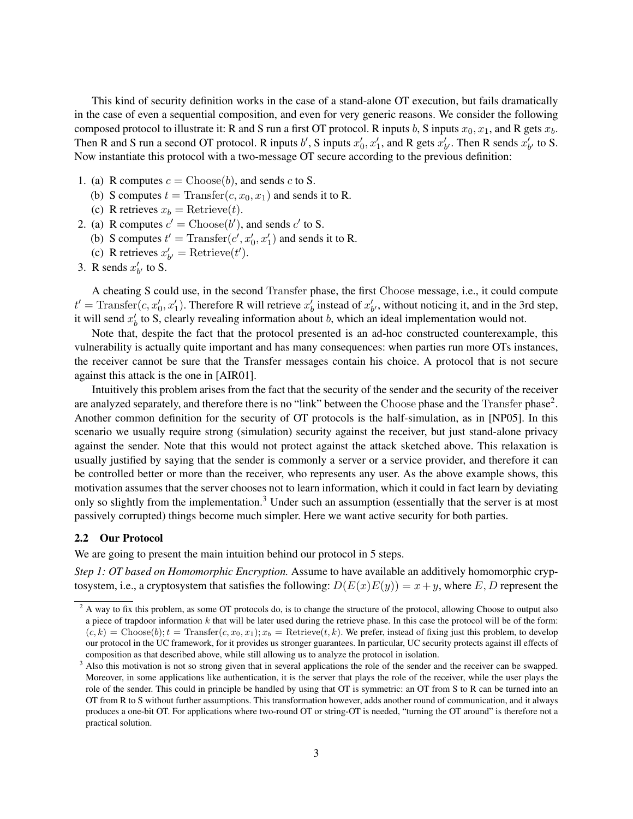This kind of security definition works in the case of a stand-alone OT execution, but fails dramatically in the case of even a sequential composition, and even for very generic reasons. We consider the following composed protocol to illustrate it: R and S run a first OT protocol. R inputs b, S inputs  $x_0, x_1$ , and R gets  $x_b$ . Then R and S run a second OT protocol. R inputs b', S inputs  $x'_0, x'_1$ , and R gets  $x'_{b'}$ . Then R sends  $x'_{b'}$  to S. Now instantiate this protocol with a two-message OT secure according to the previous definition:

- 1. (a) R computes  $c = \text{Choose}(b)$ , and sends c to S.
	- (b) S computes  $t = \text{Transfer}(c, x_0, x_1)$  and sends it to R.
	- (c) R retrieves  $x_b$  = Retrieve(t).
- 2. (a) R computes  $c' = \text{Choose}(b')$ , and sends  $c'$  to S.
	- (b) S computes  $t' = \text{Transfer}(c', x'_0, x'_1)$  and sends it to R.
	- (c) R retrieves  $x'_{b'} = \text{Retrieve}(t')$ .
- 3. R sends  $x'_{b'}$  to S.

A cheating S could use, in the second Transfer phase, the first Choose message, i.e., it could compute  $t' = \text{Transfer}(c, x'_0, x'_1)$ . Therefore R will retrieve  $x'_b$  instead of  $x'_{b'}$ , without noticing it, and in the 3rd step, it will send  $x'_b$  to S, clearly revealing information about b, which an ideal implementation would not.

Note that, despite the fact that the protocol presented is an ad-hoc constructed counterexample, this vulnerability is actually quite important and has many consequences: when parties run more OTs instances, the receiver cannot be sure that the Transfer messages contain his choice. A protocol that is not secure against this attack is the one in [AIR01].

Intuitively this problem arises from the fact that the security of the sender and the security of the receiver are analyzed separately, and therefore there is no "link" between the Choose phase and the Transfer phase<sup>2</sup>. Another common definition for the security of OT protocols is the half-simulation, as in [NP05]. In this scenario we usually require strong (simulation) security against the receiver, but just stand-alone privacy against the sender. Note that this would not protect against the attack sketched above. This relaxation is usually justified by saying that the sender is commonly a server or a service provider, and therefore it can be controlled better or more than the receiver, who represents any user. As the above example shows, this motivation assumes that the server chooses not to learn information, which it could in fact learn by deviating only so slightly from the implementation.<sup>3</sup> Under such an assumption (essentially that the server is at most passively corrupted) things become much simpler. Here we want active security for both parties.

## 2.2 Our Protocol

We are going to present the main intuition behind our protocol in 5 steps.

*Step 1: OT based on Homomorphic Encryption.* Assume to have available an additively homomorphic cryptosystem, i.e., a cryptosystem that satisfies the following:  $D(E(x)E(y)) = x + y$ , where E, D represent the

<sup>&</sup>lt;sup>2</sup> A way to fix this problem, as some OT protocols do, is to change the structure of the protocol, allowing Choose to output also a piece of trapdoor information  $k$  that will be later used during the retrieve phase. In this case the protocol will be of the form:  $(c, k)$  = Choose(b);  $t$  = Transfer $(c, x_0, x_1)$ ;  $x_b$  = Retrieve(t, k). We prefer, instead of fixing just this problem, to develop our protocol in the UC framework, for it provides us stronger guarantees. In particular, UC security protects against ill effects of composition as that described above, while still allowing us to analyze the protocol in isolation.

<sup>&</sup>lt;sup>3</sup> Also this motivation is not so strong given that in several applications the role of the sender and the receiver can be swapped. Moreover, in some applications like authentication, it is the server that plays the role of the receiver, while the user plays the role of the sender. This could in principle be handled by using that OT is symmetric: an OT from S to R can be turned into an OT from R to S without further assumptions. This transformation however, adds another round of communication, and it always produces a one-bit OT. For applications where two-round OT or string-OT is needed, "turning the OT around" is therefore not a practical solution.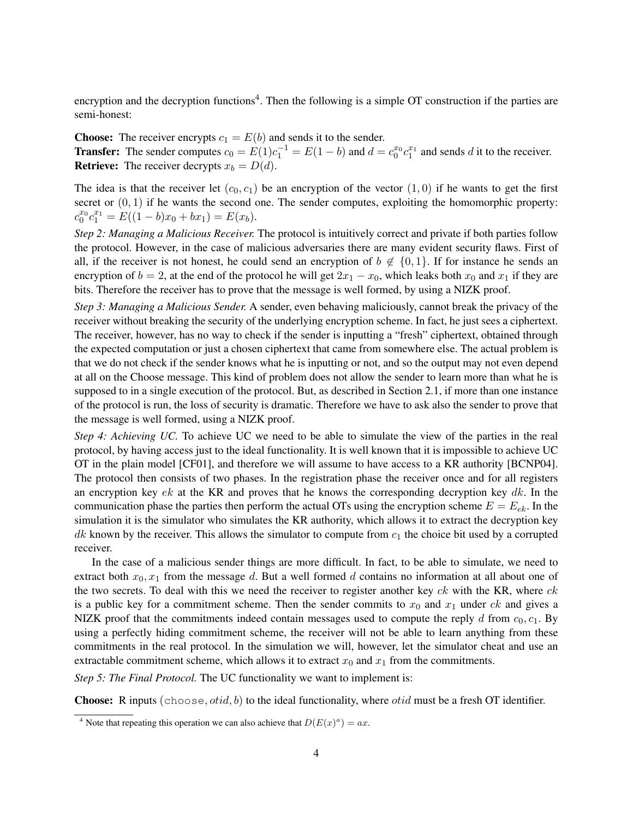encryption and the decryption functions<sup>4</sup>. Then the following is a simple OT construction if the parties are semi-honest:

**Choose:** The receiver encrypts  $c_1 = E(b)$  and sends it to the sender. **Transfer:** The sender computes  $c_0 = E(1)c_1^{-1} = E(1-b)$  and  $d = c_0^{x_0}c_1^{x_1}$  and sends d it to the receiver. **Retrieve:** The receiver decrypts  $x_b = D(d)$ .

The idea is that the receiver let  $(c_0, c_1)$  be an encryption of the vector  $(1, 0)$  if he wants to get the first secret or  $(0, 1)$  if he wants the second one. The sender computes, exploiting the homomorphic property:  $c_0^{x_0}c_1^{x_1} = E((1-b)x_0+bx_1) = E(x_b).$ 

*Step 2: Managing a Malicious Receiver.* The protocol is intuitively correct and private if both parties follow the protocol. However, in the case of malicious adversaries there are many evident security flaws. First of all, if the receiver is not honest, he could send an encryption of  $b \notin \{0, 1\}$ . If for instance he sends an encryption of  $b = 2$ , at the end of the protocol he will get  $2x_1 - x_0$ , which leaks both  $x_0$  and  $x_1$  if they are bits. Therefore the receiver has to prove that the message is well formed, by using a NIZK proof.

*Step 3: Managing a Malicious Sender.* A sender, even behaving maliciously, cannot break the privacy of the receiver without breaking the security of the underlying encryption scheme. In fact, he just sees a ciphertext. The receiver, however, has no way to check if the sender is inputting a "fresh" ciphertext, obtained through the expected computation or just a chosen ciphertext that came from somewhere else. The actual problem is that we do not check if the sender knows what he is inputting or not, and so the output may not even depend at all on the Choose message. This kind of problem does not allow the sender to learn more than what he is supposed to in a single execution of the protocol. But, as described in Section 2.1, if more than one instance of the protocol is run, the loss of security is dramatic. Therefore we have to ask also the sender to prove that the message is well formed, using a NIZK proof.

*Step 4: Achieving UC.* To achieve UC we need to be able to simulate the view of the parties in the real protocol, by having access just to the ideal functionality. It is well known that it is impossible to achieve UC OT in the plain model [CF01], and therefore we will assume to have access to a KR authority [BCNP04]. The protocol then consists of two phases. In the registration phase the receiver once and for all registers an encryption key  $ek$  at the KR and proves that he knows the corresponding decryption key  $dk$ . In the communication phase the parties then perform the actual OTs using the encryption scheme  $E = E_{ek}$ . In the simulation it is the simulator who simulates the KR authority, which allows it to extract the decryption key dk known by the receiver. This allows the simulator to compute from  $c_1$  the choice bit used by a corrupted receiver.

In the case of a malicious sender things are more difficult. In fact, to be able to simulate, we need to extract both  $x_0, x_1$  from the message d. But a well formed d contains no information at all about one of the two secrets. To deal with this we need the receiver to register another key  $ck$  with the KR, where  $ck$ is a public key for a commitment scheme. Then the sender commits to  $x_0$  and  $x_1$  under ck and gives a NIZK proof that the commitments indeed contain messages used to compute the reply d from  $c_0, c_1$ . By using a perfectly hiding commitment scheme, the receiver will not be able to learn anything from these commitments in the real protocol. In the simulation we will, however, let the simulator cheat and use an extractable commitment scheme, which allows it to extract  $x_0$  and  $x_1$  from the commitments.

*Step 5: The Final Protocol.* The UC functionality we want to implement is:

**Choose:** R inputs (choose, *otid*, *b*) to the ideal functionality, where *otid* must be a fresh OT identifier.

<sup>&</sup>lt;sup>4</sup> Note that repeating this operation we can also achieve that  $D(E(x)^a) = ax$ .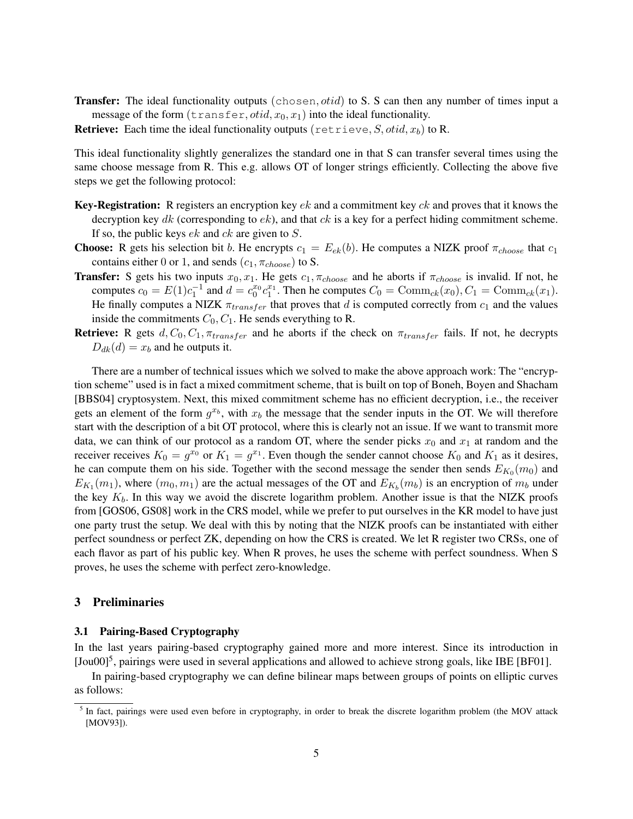**Transfer:** The ideal functionality outputs (chosen, *otid*) to S. S can then any number of times input a message of the form  $(\text{transfer}, \text{otid}, x_0, x_1)$  into the ideal functionality.

**Retrieve:** Each time the ideal functionality outputs (retrieve, S, otid,  $x_b$ ) to R.

This ideal functionality slightly generalizes the standard one in that S can transfer several times using the same choose message from R. This e.g. allows OT of longer strings efficiently. Collecting the above five steps we get the following protocol:

- Key-Registration: R registers an encryption key  $ek$  and a commitment key  $ck$  and proves that it knows the decryption key dk (corresponding to  $ek$ ), and that  $ck$  is a key for a perfect hiding commitment scheme. If so, the public keys  $ek$  and  $ck$  are given to  $S$ .
- **Choose:** R gets his selection bit b. He encrypts  $c_1 = E_{ek}(b)$ . He computes a NIZK proof  $\pi_{choose}$  that  $c_1$ contains either 0 or 1, and sends  $(c_1, \pi_{choose})$  to S.
- **Transfer:** S gets his two inputs  $x_0, x_1$ . He gets  $c_1, \pi_{choose}$  and he aborts if  $\pi_{choose}$  is invalid. If not, he computes  $c_0 = E(1)c_1^{-1}$  and  $d = c_0^{x_0}c_1^{x_1}$ . Then he computes  $C_0 = \text{Comm}_{ck}(x_0), C_1 = \text{Comm}_{ck}(x_1)$ . He finally computes a NIZK  $\pi_{transfer}$  that proves that d is computed correctly from  $c_1$  and the values inside the commitments  $C_0, C_1$ . He sends everything to R.
- **Retrieve:** R gets  $d, C_0, C_1, \pi_{transfer}$  and he aborts if the check on  $\pi_{transfer}$  fails. If not, he decrypts  $D_{dk}(d) = x_b$  and he outputs it.

There are a number of technical issues which we solved to make the above approach work: The "encryption scheme" used is in fact a mixed commitment scheme, that is built on top of Boneh, Boyen and Shacham [BBS04] cryptosystem. Next, this mixed commitment scheme has no efficient decryption, i.e., the receiver gets an element of the form  $g^{x_b}$ , with  $x_b$  the message that the sender inputs in the OT. We will therefore start with the description of a bit OT protocol, where this is clearly not an issue. If we want to transmit more data, we can think of our protocol as a random OT, where the sender picks  $x_0$  and  $x_1$  at random and the receiver receives  $K_0 = g^{x_0}$  or  $K_1 = g^{x_1}$ . Even though the sender cannot choose  $K_0$  and  $K_1$  as it desires, he can compute them on his side. Together with the second message the sender then sends  $E_{K_0}(m_0)$  and  $E_{K_1}(m_1)$ , where  $(m_0, m_1)$  are the actual messages of the OT and  $E_{K_b}(m_b)$  is an encryption of  $m_b$  under the key  $K_b$ . In this way we avoid the discrete logarithm problem. Another issue is that the NIZK proofs from [GOS06, GS08] work in the CRS model, while we prefer to put ourselves in the KR model to have just one party trust the setup. We deal with this by noting that the NIZK proofs can be instantiated with either perfect soundness or perfect ZK, depending on how the CRS is created. We let R register two CRSs, one of each flavor as part of his public key. When R proves, he uses the scheme with perfect soundness. When S proves, he uses the scheme with perfect zero-knowledge.

## 3 Preliminaries

# 3.1 Pairing-Based Cryptography

In the last years pairing-based cryptography gained more and more interest. Since its introduction in [Jou00]<sup>5</sup>, pairings were used in several applications and allowed to achieve strong goals, like IBE [BF01].

In pairing-based cryptography we can define bilinear maps between groups of points on elliptic curves as follows:

<sup>&</sup>lt;sup>5</sup> In fact, pairings were used even before in cryptography, in order to break the discrete logarithm problem (the MOV attack [MOV93]).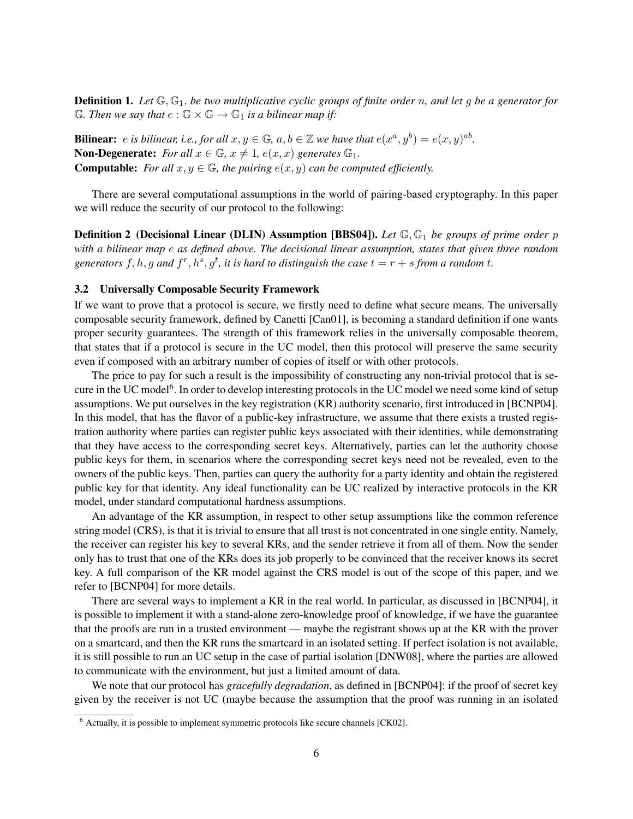Definition 1. *Let* G, G1, *be two multiplicative cyclic groups of finite order* n*, and let* g *be a generator for*  $\mathbb{G}$ *. Then we say that*  $e : \mathbb{G} \times \mathbb{G} \to \mathbb{G}$ <sub>1</sub> *is a bilinear map if:* 

**Bilinear:** e is bilinear, i.e., for all  $x, y \in \mathbb{G}$ ,  $a, b \in \mathbb{Z}$  we have that  $e(x^a, y^b) = e(x, y)^{ab}$ . **Non-Degenerate:** *For all*  $x \in \mathbb{G}$ ,  $x \neq 1$ ,  $e(x, x)$  *generates*  $\mathbb{G}_1$ *.* **Computable:** *For all*  $x, y \in \mathbb{G}$ *, the pairing*  $e(x, y)$  *can be computed efficiently.* 

There are several computational assumptions in the world of pairing-based cryptography. In this paper we will reduce the security of our protocol to the following:

Definition 2 (Decisional Linear (DLIN) Assumption [BBS04]). *Let* G, G<sup>1</sup> *be groups of prime order* p *with a bilinear map* e *as defined above. The decisional linear assumption, states that given three random* generators  $f, h, g$  and  $f^r, h^s, g^t$ , it is hard to distinguish the case  $t = r + s$  *from a random* t.

## 3.2 Universally Composable Security Framework

If we want to prove that a protocol is secure, we firstly need to define what secure means. The universally composable security framework, defined by Canetti [Can01], is becoming a standard definition if one wants proper security guarantees. The strength of this framework relies in the universally composable theorem, that states that if a protocol is secure in the UC model, then this protocol will preserve the same security even if composed with an arbitrary number of copies of itself or with other protocols.

The price to pay for such a result is the impossibility of constructing any non-trivial protocol that is secure in the UC model<sup>6</sup>. In order to develop interesting protocols in the UC model we need some kind of setup assumptions. We put ourselves in the key registration (KR) authority scenario, first introduced in [BCNP04]. In this model, that has the flavor of a public-key infrastructure, we assume that there exists a trusted registration authority where parties can register public keys associated with their identities, while demonstrating that they have access to the corresponding secret keys. Alternatively, parties can let the authority choose public keys for them, in scenarios where the corresponding secret keys need not be revealed, even to the owners of the public keys. Then, parties can query the authority for a party identity and obtain the registered public key for that identity. Any ideal functionality can be UC realized by interactive protocols in the KR model, under standard computational hardness assumptions.

An advantage of the KR assumption, in respect to other setup assumptions like the common reference string model (CRS), is that it is trivial to ensure that all trust is not concentrated in one single entity. Namely, the receiver can register his key to several KRs, and the sender retrieve it from all of them. Now the sender only has to trust that one of the KRs does its job properly to be convinced that the receiver knows its secret key. A full comparison of the KR model against the CRS model is out of the scope of this paper, and we refer to [BCNP04] for more details.

There are several ways to implement a KR in the real world. In particular, as discussed in [BCNP04], it is possible to implement it with a stand-alone zero-knowledge proof of knowledge, if we have the guarantee that the proofs are run in a trusted environment — maybe the registrant shows up at the KR with the prover on a smartcard, and then the KR runs the smartcard in an isolated setting. If perfect isolation is not available, it is still possible to run an UC setup in the case of partial isolation [DNW08], where the parties are allowed to communicate with the environment, but just a limited amount of data.

We note that our protocol has *gracefully degradation*, as defined in [BCNP04]: if the proof of secret key given by the receiver is not UC (maybe because the assumption that the proof was running in an isolated

<sup>6</sup> Actually, it is possible to implement symmetric protocols like secure channels [CK02].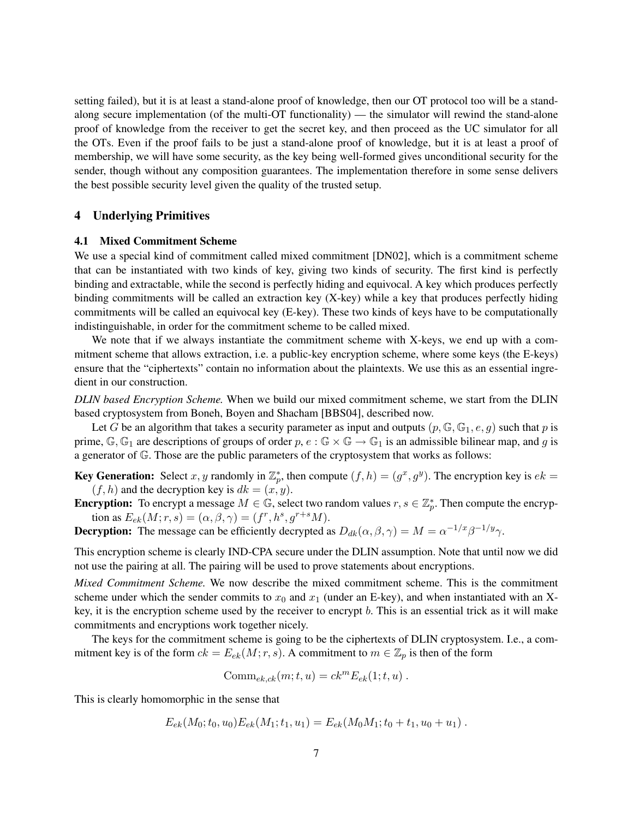setting failed), but it is at least a stand-alone proof of knowledge, then our OT protocol too will be a standalong secure implementation (of the multi-OT functionality) — the simulator will rewind the stand-alone proof of knowledge from the receiver to get the secret key, and then proceed as the UC simulator for all the OTs. Even if the proof fails to be just a stand-alone proof of knowledge, but it is at least a proof of membership, we will have some security, as the key being well-formed gives unconditional security for the sender, though without any composition guarantees. The implementation therefore in some sense delivers the best possible security level given the quality of the trusted setup.

# 4 Underlying Primitives

#### 4.1 Mixed Commitment Scheme

We use a special kind of commitment called mixed commitment [DN02], which is a commitment scheme that can be instantiated with two kinds of key, giving two kinds of security. The first kind is perfectly binding and extractable, while the second is perfectly hiding and equivocal. A key which produces perfectly binding commitments will be called an extraction key (X-key) while a key that produces perfectly hiding commitments will be called an equivocal key (E-key). These two kinds of keys have to be computationally indistinguishable, in order for the commitment scheme to be called mixed.

We note that if we always instantiate the commitment scheme with X-keys, we end up with a commitment scheme that allows extraction, i.e. a public-key encryption scheme, where some keys (the E-keys) ensure that the "ciphertexts" contain no information about the plaintexts. We use this as an essential ingredient in our construction.

*DLIN based Encryption Scheme.* When we build our mixed commitment scheme, we start from the DLIN based cryptosystem from Boneh, Boyen and Shacham [BBS04], described now.

Let G be an algorithm that takes a security parameter as input and outputs  $(p, \mathbb{G}, \mathbb{G}_1, e, q)$  such that p is prime,  $\mathbb{G}, \mathbb{G}_1$  are descriptions of groups of order  $p, e : \mathbb{G} \times \mathbb{G} \to \mathbb{G}_1$  is an admissible bilinear map, and g is a generator of G. Those are the public parameters of the cryptosystem that works as follows:

**Key Generation:** Select x, y randomly in  $\mathbb{Z}_p^*$ , then compute  $(f, h) = (g^x, g^y)$ . The encryption key is  $ek =$  $(f, h)$  and the decryption key is  $dk = (x, y)$ .

**Encryption:** To encrypt a message  $M \in \mathbb{G}$ , select two random values  $r, s \in \mathbb{Z}_p^*$ . Then compute the encryption as  $E_{ek}(M; r, s) = (\alpha, \beta, \gamma) = (f^r, h^s, g^{r+s}M).$ 

**Decryption:** The message can be efficiently decrypted as  $D_{dk}(\alpha, \beta, \gamma) = M = \alpha^{-1/x} \beta^{-1/y} \gamma$ .

This encryption scheme is clearly IND-CPA secure under the DLIN assumption. Note that until now we did not use the pairing at all. The pairing will be used to prove statements about encryptions.

*Mixed Commitment Scheme.* We now describe the mixed commitment scheme. This is the commitment scheme under which the sender commits to  $x_0$  and  $x_1$  (under an E-key), and when instantiated with an Xkey, it is the encryption scheme used by the receiver to encrypt b. This is an essential trick as it will make commitments and encryptions work together nicely.

The keys for the commitment scheme is going to be the ciphertexts of DLIN cryptosystem. I.e., a commitment key is of the form  $ck = E_{ek}(M; r, s)$ . A commitment to  $m \in \mathbb{Z}_p$  is then of the form

$$
Comm_{ek,ck}(m;t,u) = ck^m E_{ek}(1;t,u) .
$$

This is clearly homomorphic in the sense that

$$
E_{ek}(M_0; t_0, u_0) E_{ek}(M_1; t_1, u_1) = E_{ek}(M_0M_1; t_0 + t_1, u_0 + u_1).
$$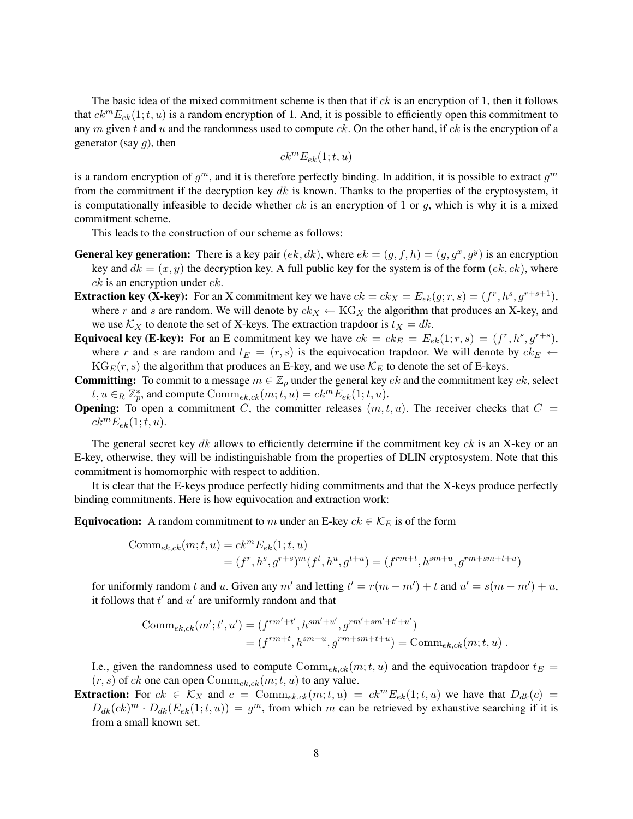The basic idea of the mixed commitment scheme is then that if  $ck$  is an encryption of 1, then it follows that  $ck^mE_{ek}(1;t,u)$  is a random encryption of 1. And, it is possible to efficiently open this commitment to any  $m$  given t and  $u$  and the randomness used to compute  $ck$ . On the other hand, if  $ck$  is the encryption of a generator (say  $q$ ), then

$$
ck^m E_{ek}(1;t,u)
$$

is a random encryption of  $g^m$ , and it is therefore perfectly binding. In addition, it is possible to extract  $g^m$ from the commitment if the decryption key dk is known. Thanks to the properties of the cryptosystem, it is computationally infeasible to decide whether  $ck$  is an encryption of 1 or  $g$ , which is why it is a mixed commitment scheme.

This leads to the construction of our scheme as follows:

- **General key generation:** There is a key pair  $(ek, dk)$ , where  $ek = (g, f, h) = (g, g^x, g^y)$  is an encryption key and  $dk = (x, y)$  the decryption key. A full public key for the system is of the form  $(ek, ck)$ , where  $ck$  is an encryption under  $ek$ .
- **Extraction key (X-key):** For an X commitment key we have  $ck = ck_X = E_{ek}(g; r, s) = (f^r, h^s, g^{r+s+1}),$ where r and s are random. We will denote by  $ck_X \leftarrow KG_X$  the algorithm that produces an X-key, and we use  $\mathcal{K}_X$  to denote the set of X-keys. The extraction trapdoor is  $t_X = dk$ .
- **Equivocal key (E-key):** For an E commitment key we have  $ck = ck_E = E_{ek}(1; r, s) = (f^r, h^s, g^{r+s})$ , where r and s are random and  $t_E = (r, s)$  is the equivocation trapdoor. We will denote by  $ck_E \leftarrow$  $KG_E(r, s)$  the algorithm that produces an E-key, and we use  $\mathcal{K}_E$  to denote the set of E-keys.
- **Committing:** To commit to a message  $m \in \mathbb{Z}_p$  under the general key  $ek$  and the commitment key  $ck$ , select  $t, u \in_R \mathbb{Z}_p^*$ , and compute  $\mathrm{Comm}_{ek,ck}(m; t, u) = ck^m E_{ek}(1; t, u)$ .
- **Opening:** To open a commitment C, the committer releases  $(m, t, u)$ . The receiver checks that  $C =$  $ck^mE_{ek}(1;t,u).$

The general secret key dk allows to efficiently determine if the commitment key  $ck$  is an X-key or an E-key, otherwise, they will be indistinguishable from the properties of DLIN cryptosystem. Note that this commitment is homomorphic with respect to addition.

It is clear that the E-keys produce perfectly hiding commitments and that the X-keys produce perfectly binding commitments. Here is how equivocation and extraction work:

**Equivocation:** A random commitment to m under an E-key  $ck \in \mathcal{K}_E$  is of the form

$$
Comm_{ek,ck}(m; t, u) = ck^m E_{ek}(1; t, u)
$$
  
=  $(f^r, h^s, g^{r+s})^m(f^t, h^u, g^{t+u}) = (f^{r m+t}, h^{sm+u}, g^{r m+sm+t+u})$ 

for uniformly random t and u. Given any m' and letting  $t' = r(m - m') + t$  and  $u' = s(m - m') + u$ , it follows that  $t'$  and  $u'$  are uniformly random and that

$$
Comm_{ek,ck}(m';t',u') = (f^{rm'+t'},h^{sm'+u'},g^{rm'+sm'+t'+u'})
$$
  
=  $(f^{rm+t},h^{sm+u},g^{rm+sm+t+u})$  = Comm<sub>ek,ck</sub> $(m;t,u)$ .

I.e., given the randomness used to compute  $\mathrm{Comm}_{ek,ck}(m;t,u)$  and the equivocation trapdoor  $t_E =$  $(r, s)$  of ck one can open  $\mathrm{Comm}_{ek,ck}(m; t, u)$  to any value.

**Extraction:** For  $ck \in \mathcal{K}_X$  and  $c = \text{Comm}_{ek,ck}(m; t, u) = ck^mE_{ek}(1; t, u)$  we have that  $D_{dk}(c) =$  $D_{dk}(ck)^m \cdot D_{dk}(E_{ek}(1;t,u)) = g^m$ , from which m can be retrieved by exhaustive searching if it is from a small known set.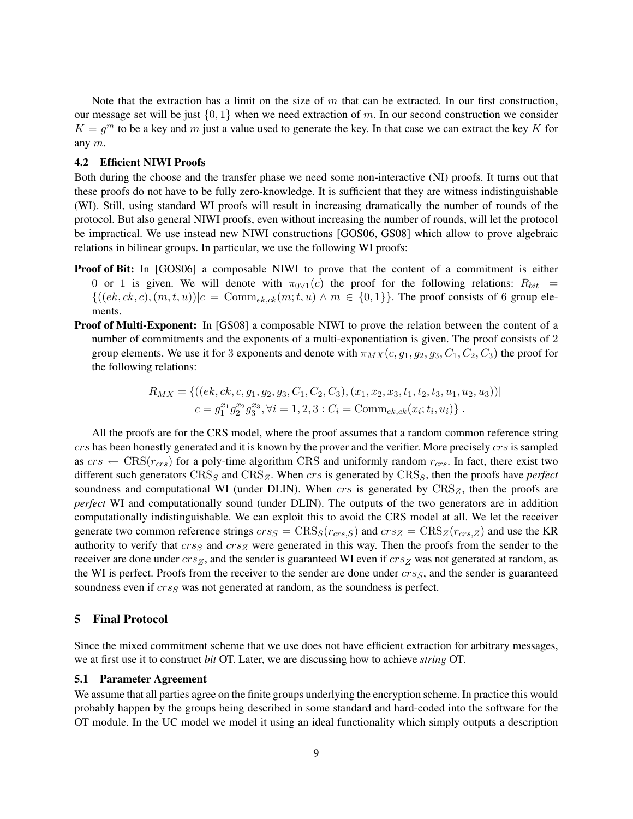Note that the extraction has a limit on the size of  $m$  that can be extracted. In our first construction, our message set will be just  $\{0, 1\}$  when we need extraction of m. In our second construction we consider  $K = g<sup>m</sup>$  to be a key and m just a value used to generate the key. In that case we can extract the key K for any m.

#### 4.2 Efficient NIWI Proofs

Both during the choose and the transfer phase we need some non-interactive (NI) proofs. It turns out that these proofs do not have to be fully zero-knowledge. It is sufficient that they are witness indistinguishable (WI). Still, using standard WI proofs will result in increasing dramatically the number of rounds of the protocol. But also general NIWI proofs, even without increasing the number of rounds, will let the protocol be impractical. We use instead new NIWI constructions [GOS06, GS08] which allow to prove algebraic relations in bilinear groups. In particular, we use the following WI proofs:

- **Proof of Bit:** In [GOS06] a composable NIWI to prove that the content of a commitment is either 0 or 1 is given. We will denote with  $\pi_{0 \vee 1}(c)$  the proof for the following relations:  $R_{bit}$  =  ${((ek, ck, c), (m, t, u))|c = \text{Comm}_{ek, ck}(m; t, u) \wedge m \in \{0, 1\}\}.$  The proof consists of 6 group elements.
- Proof of Multi-Exponent: In [GS08] a composable NIWI to prove the relation between the content of a number of commitments and the exponents of a multi-exponentiation is given. The proof consists of 2 group elements. We use it for 3 exponents and denote with  $\pi_{MX}(c, g_1, g_2, g_3, C_1, C_2, C_3)$  the proof for the following relations:

 $R_{MX} = \{((ek, ck, c, g_1, g_2, g_3, C_1, C_2, C_3), (x_1, x_2, x_3, t_1, t_2, t_3, u_1, u_2, u_3))\}\$  $c = g_1^{x_1} g_2^{x_2} g_3^{x_3}, \forall i = 1, 2, 3 : C_i = \text{Comm}_{ek,ck}(x_i; t_i, u_i) \}$ .

All the proofs are for the CRS model, where the proof assumes that a random common reference string crs has been honestly generated and it is known by the prover and the verifier. More precisely crs is sampled as  $crs \leftarrow \text{CRS}(r_{crs})$  for a poly-time algorithm CRS and uniformly random  $r_{crs}$ . In fact, there exist two different such generators  $CRS<sub>S</sub>$  and  $CRS<sub>Z</sub>$ . When *crs* is generated by  $CRS<sub>S</sub>$ , then the proofs have *perfect* soundness and computational WI (under DLIN). When  $crs$  is generated by  $CRS_Z$ , then the proofs are *perfect* WI and computationally sound (under DLIN). The outputs of the two generators are in addition computationally indistinguishable. We can exploit this to avoid the CRS model at all. We let the receiver generate two common reference strings  $crs_S = \text{CRS}_S(r_{crs,S})$  and  $crs_Z = \text{CRS}_Z(r_{crs,Z})$  and use the KR authority to verify that  $crs<sub>S</sub>$  and  $crs<sub>Z</sub>$  were generated in this way. Then the proofs from the sender to the receiver are done under  $crsz$ , and the sender is guaranteed WI even if  $crsz$  was not generated at random, as the WI is perfect. Proofs from the receiver to the sender are done under  $crs<sub>S</sub>$ , and the sender is guaranteed soundness even if  $crs<sub>S</sub>$  was not generated at random, as the soundness is perfect.

## 5 Final Protocol

Since the mixed commitment scheme that we use does not have efficient extraction for arbitrary messages, we at first use it to construct *bit* OT. Later, we are discussing how to achieve *string* OT.

#### 5.1 Parameter Agreement

We assume that all parties agree on the finite groups underlying the encryption scheme. In practice this would probably happen by the groups being described in some standard and hard-coded into the software for the OT module. In the UC model we model it using an ideal functionality which simply outputs a description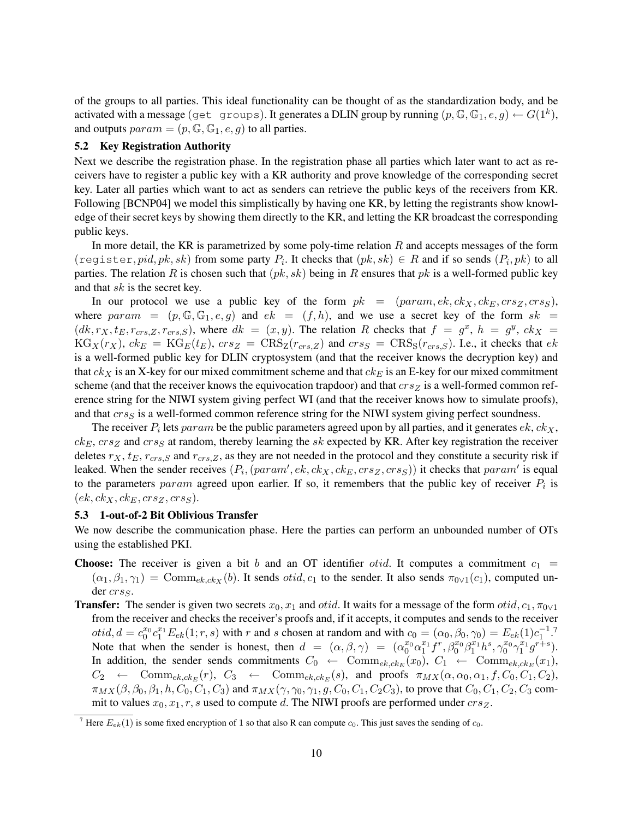of the groups to all parties. This ideal functionality can be thought of as the standardization body, and be activated with a message (get groups). It generates a DLIN group by running  $(p,\mathbb{G},\mathbb{G}_1,e,g)\leftarrow G(1^k),$ and outputs  $param = (p, \mathbb{G}, \mathbb{G}_1, e, g)$  to all parties.

#### 5.2 Key Registration Authority

Next we describe the registration phase. In the registration phase all parties which later want to act as receivers have to register a public key with a KR authority and prove knowledge of the corresponding secret key. Later all parties which want to act as senders can retrieve the public keys of the receivers from KR. Following [BCNP04] we model this simplistically by having one KR, by letting the registrants show knowledge of their secret keys by showing them directly to the KR, and letting the KR broadcast the corresponding public keys.

In more detail, the KR is parametrized by some poly-time relation  $R$  and accepts messages of the form  $(\text{register}, pid, pk, sk)$  from some party  $P_i$ . It checks that  $(pk, sk) \in R$  and if so sends  $(P_i, pk)$  to all parties. The relation R is chosen such that  $(pk, sk)$  being in R ensures that pk is a well-formed public key and that sk is the secret key.

In our protocol we use a public key of the form  $pk = (param, ek, ck_X, ck_E, crs_Z, crs_S)$ , where  $param = (p, \mathbb{G}, \mathbb{G}_1, e, g)$  and  $ek = (f, h)$ , and we use a secret key of the form  $sk =$  $(dk, r_X, t_E, r_{crs,Z}, r_{crs,S})$ , where  $dk = (x, y)$ . The relation R checks that  $f = g^x$ ,  $h = g^y$ ,  $ck_X =$  $KG_X(r_X), ck_E = KG_E(t_E), crs_Z = CAS_Z(r_{crs,Z})$  and  $crs_S = CAS_S(r_{crs,S})$ . I.e., it checks that  $ek$ is a well-formed public key for DLIN cryptosystem (and that the receiver knows the decryption key) and that  $ck_X$  is an X-key for our mixed commitment scheme and that  $ck_E$  is an E-key for our mixed commitment scheme (and that the receiver knows the equivocation trapdoor) and that  $crsz$  is a well-formed common reference string for the NIWI system giving perfect WI (and that the receiver knows how to simulate proofs), and that  $crs<sub>S</sub>$  is a well-formed common reference string for the NIWI system giving perfect soundness.

The receiver  $P_i$  lets  $param$  be the public parameters agreed upon by all parties, and it generates  $ek, ck_X$ ,  $ck_E, crs_Z$  and  $crs_S$  at random, thereby learning the sk expected by KR. After key registration the receiver deletes  $r_X$ ,  $t_E$ ,  $r_{crs,S}$  and  $r_{crs,Z}$ , as they are not needed in the protocol and they constitute a security risk if leaked. When the sender receives  $(P_i, (param', ek, ck_X, ck_E, crs_Z, crs_S))$  it checks that  $param'$  is equal to the parameters param agreed upon earlier. If so, it remembers that the public key of receiver  $P_i$  is  $(ek, ck_X, ck_E, crs_Z, crs_S).$ 

## 5.3 1-out-of-2 Bit Oblivious Transfer

We now describe the communication phase. Here the parties can perform an unbounded number of OTs using the established PKI.

- **Choose:** The receiver is given a bit b and an OT identifier otid. It computes a commitment  $c_1$  =  $(\alpha_1, \beta_1, \gamma_1)$  = Comm<sub>ek,ckx</sub>(b). It sends *otid*,  $c_1$  to the sender. It also sends  $\pi_{0 \vee 1}(c_1)$ , computed un $der\, crs<sub>S</sub>$ .
- **Transfer:** The sender is given two secrets  $x_0, x_1$  and *otid*. It waits for a message of the form *otid*,  $c_1, \pi_{0 \vee 1}$ from the receiver and checks the receiver's proofs and, if it accepts, it computes and sends to the receiver *otid,*  $d = c_0^{x_0} c_1^{x_1} E_{ek}(1; r, s)$  with r and s chosen at random and with  $c_0 = (\alpha_0, \beta_0, \gamma_0) = E_{ek}(1)c_1^{-1}$ .<sup>7</sup> Note that when the sender is honest, then  $d = (\alpha, \beta, \gamma) = (\alpha_0^{x_0} \alpha_1^{x_1} f^r, \beta_0^{x_0} \beta_1^{x_1} h^s, \gamma_0^{x_0} \gamma_1^{x_1} g^{r+s}).$ In addition, the sender sends commitments  $C_0 \leftarrow \text{Comm}_{ek,ck_E}(x_0), C_1 \leftarrow \text{Comm}_{ek,ck_E}(x_1),$  $C_2 \leftarrow \text{Comm}_{ek,ck_E}(r), C_3 \leftarrow \text{Comm}_{ek,ck_E}(s), \text{ and proofs } \pi_{MX}(\alpha, \alpha_0, \alpha_1, f, C_0, C_1, C_2),$  $\pi_{MX}(\beta, \beta_0, \beta_1, h, C_0, C_1, C_3)$  and  $\pi_{MX}(\gamma, \gamma_0, \gamma_1, g, C_0, C_1, C_2C_3)$ , to prove that  $C_0, C_1, C_2, C_3$  commit to values  $x_0, x_1, r, s$  used to compute d. The NIWI proofs are performed under  $crsz$ .

<sup>&</sup>lt;sup>7</sup> Here  $E_{ek}(1)$  is some fixed encryption of 1 so that also R can compute  $c_0$ . This just saves the sending of  $c_0$ .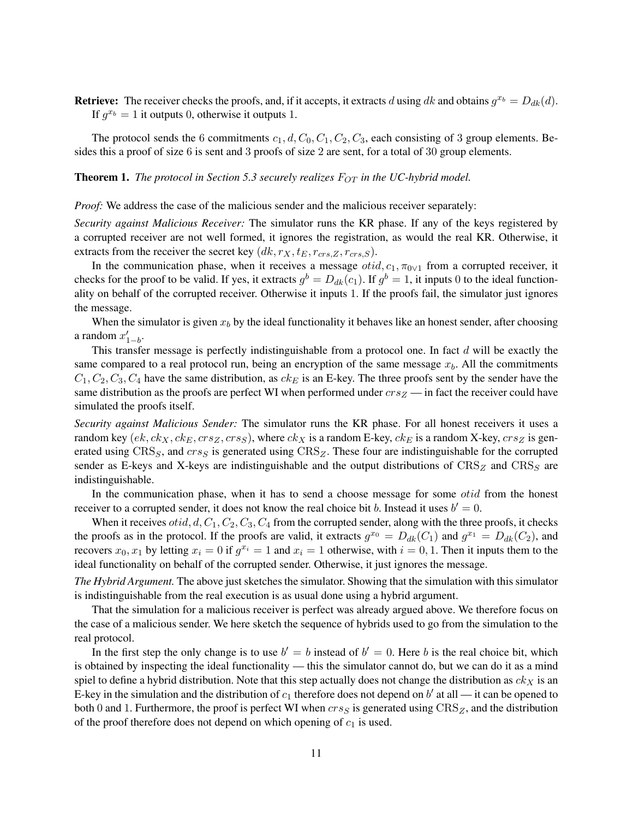**Retrieve:** The receiver checks the proofs, and, if it accepts, it extracts d using dk and obtains  $g^{x_b} = D_{dk}(d)$ . If  $g^{x_b} = 1$  it outputs 0, otherwise it outputs 1.

The protocol sends the 6 commitments  $c_1, d, C_0, C_1, C_2, C_3$ , each consisting of 3 group elements. Besides this a proof of size 6 is sent and 3 proofs of size 2 are sent, for a total of 30 group elements.

**Theorem 1.** *The protocol in Section 5.3 securely realizes*  $F_{OT}$  *in the UC-hybrid model.* 

*Proof:* We address the case of the malicious sender and the malicious receiver separately:

*Security against Malicious Receiver:* The simulator runs the KR phase. If any of the keys registered by a corrupted receiver are not well formed, it ignores the registration, as would the real KR. Otherwise, it extracts from the receiver the secret key  $(dk, r_X, t_E, r_{crs,Z}, r_{crs,S}).$ 

In the communication phase, when it receives a message *otid*,  $c_1$ ,  $\pi_{0 \vee 1}$  from a corrupted receiver, it checks for the proof to be valid. If yes, it extracts  $g^b = D_{dk}(c_1)$ . If  $g^b = 1$ , it inputs 0 to the ideal functionality on behalf of the corrupted receiver. Otherwise it inputs 1. If the proofs fail, the simulator just ignores the message.

When the simulator is given  $x_b$  by the ideal functionality it behaves like an honest sender, after choosing a random  $x'_{1-b}$ .

This transfer message is perfectly indistinguishable from a protocol one. In fact  $d$  will be exactly the same compared to a real protocol run, being an encryption of the same message  $x<sub>b</sub>$ . All the commitments  $C_1, C_2, C_3, C_4$  have the same distribution, as  $ck_E$  is an E-key. The three proofs sent by the sender have the same distribution as the proofs are perfect WI when performed under  $crs_Z$  — in fact the receiver could have simulated the proofs itself.

*Security against Malicious Sender:* The simulator runs the KR phase. For all honest receivers it uses a random key  $(ek, ck_X, ck_E, crs_Z, crs_S)$ , where  $ck_X$  is a random E-key,  $ck_E$  is a random X-key,  $crs_Z$  is generated using  $CRS<sub>S</sub>$ , and  $crs<sub>S</sub>$  is generated using  $CRS<sub>Z</sub>$ . These four are indistinguishable for the corrupted sender as E-keys and X-keys are indistinguishable and the output distributions of  $CRS<sub>Z</sub>$  and  $CRS<sub>S</sub>$  are indistinguishable.

In the communication phase, when it has to send a choose message for some *otid* from the honest receiver to a corrupted sender, it does not know the real choice bit b. Instead it uses  $b' = 0$ .

When it receives  $otid, d, C_1, C_2, C_3, C_4$  from the corrupted sender, along with the three proofs, it checks the proofs as in the protocol. If the proofs are valid, it extracts  $g^{x_0} = D_{dk}(C_1)$  and  $g^{x_1} = D_{dk}(C_2)$ , and recovers  $x_0, x_1$  by letting  $x_i = 0$  if  $g^{x_i} = 1$  and  $x_i = 1$  otherwise, with  $i = 0, 1$ . Then it inputs them to the ideal functionality on behalf of the corrupted sender. Otherwise, it just ignores the message.

*The Hybrid Argument.* The above just sketches the simulator. Showing that the simulation with this simulator is indistinguishable from the real execution is as usual done using a hybrid argument.

That the simulation for a malicious receiver is perfect was already argued above. We therefore focus on the case of a malicious sender. We here sketch the sequence of hybrids used to go from the simulation to the real protocol.

In the first step the only change is to use  $b' = b$  instead of  $b' = 0$ . Here b is the real choice bit, which is obtained by inspecting the ideal functionality — this the simulator cannot do, but we can do it as a mind spiel to define a hybrid distribution. Note that this step actually does not change the distribution as  $ck_X$  is an E-key in the simulation and the distribution of  $c_1$  therefore does not depend on  $b'$  at all — it can be opened to both 0 and 1. Furthermore, the proof is perfect WI when  $crs<sub>S</sub>$  is generated using CRS<sub>Z</sub>, and the distribution of the proof therefore does not depend on which opening of  $c_1$  is used.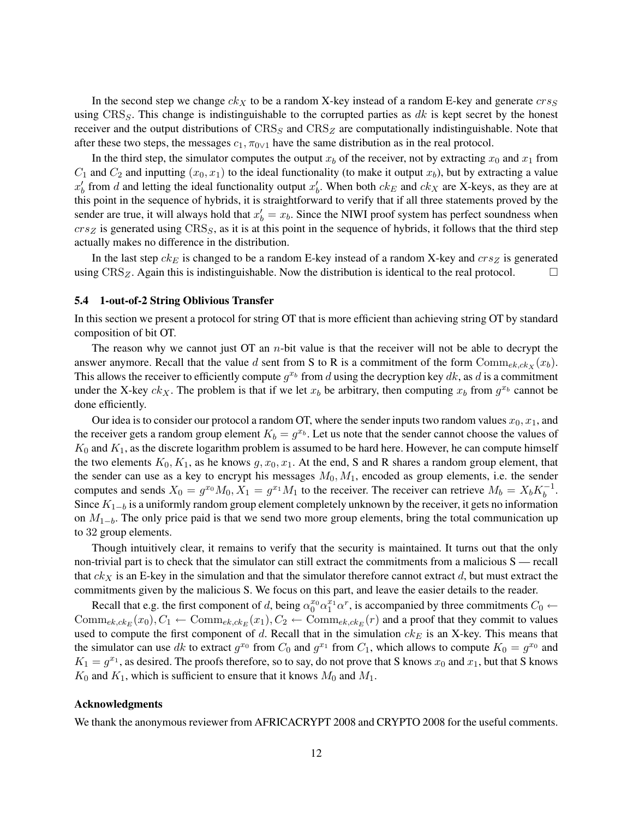In the second step we change  $ck_X$  to be a random X-key instead of a random E-key and generate  $crs_S$ using  $CRS<sub>S</sub>$ . This change is indistinguishable to the corrupted parties as dk is kept secret by the honest receiver and the output distributions of  $CRS<sub>S</sub>$  and  $CRS<sub>Z</sub>$  are computationally indistinguishable. Note that after these two steps, the messages  $c_1$ ,  $\pi_{0 \vee 1}$  have the same distribution as in the real protocol.

In the third step, the simulator computes the output  $x_b$  of the receiver, not by extracting  $x_0$  and  $x_1$  from  $C_1$  and  $C_2$  and inputting  $(x_0, x_1)$  to the ideal functionality (to make it output  $x_b$ ), but by extracting a value  $x'_b$  from d and letting the ideal functionality output  $x'_b$ . When both  $ck_E$  and  $ck_X$  are X-keys, as they are at this point in the sequence of hybrids, it is straightforward to verify that if all three statements proved by the sender are true, it will always hold that  $x'_b = x_b$ . Since the NIWI proof system has perfect soundness when  $crs<sub>Z</sub>$  is generated using  $CRS<sub>S</sub>$ , as it is at this point in the sequence of hybrids, it follows that the third step actually makes no difference in the distribution.

In the last step  $ck_E$  is changed to be a random E-key instead of a random X-key and  $crs_Z$  is generated using  $CRS_Z$ . Again this is indistinguishable. Now the distribution is identical to the real protocol.  $\Box$ 

## 5.4 1-out-of-2 String Oblivious Transfer

In this section we present a protocol for string OT that is more efficient than achieving string OT by standard composition of bit OT.

The reason why we cannot just OT an  $n$ -bit value is that the receiver will not be able to decrypt the answer anymore. Recall that the value d sent from S to R is a commitment of the form  $\text{Comm}_{ek,ck_X}(x_b)$ . This allows the receiver to efficiently compute  $g^{x_b}$  from d using the decryption key dk, as d is a commitment under the X-key  $ck_X$ . The problem is that if we let  $x_b$  be arbitrary, then computing  $x_b$  from  $g^{x_b}$  cannot be done efficiently.

Our idea is to consider our protocol a random OT, where the sender inputs two random values  $x_0, x_1$ , and the receiver gets a random group element  $K_b = g^{x_b}$ . Let us note that the sender cannot choose the values of  $K_0$  and  $K_1$ , as the discrete logarithm problem is assumed to be hard here. However, he can compute himself the two elements  $K_0, K_1$ , as he knows  $g, x_0, x_1$ . At the end, S and R shares a random group element, that the sender can use as a key to encrypt his messages  $M_0, M_1$ , encoded as group elements, i.e. the sender computes and sends  $X_0 = g^{x_0} M_0, X_1 = g^{x_1} M_1$  to the receiver. The receiver can retrieve  $M_b = X_b K_b^{-1}$ . Since  $K_{1-b}$  is a uniformly random group element completely unknown by the receiver, it gets no information on  $M_{1-b}$ . The only price paid is that we send two more group elements, bring the total communication up to 32 group elements.

Though intuitively clear, it remains to verify that the security is maintained. It turns out that the only non-trivial part is to check that the simulator can still extract the commitments from a malicious S — recall that  $ck<sub>X</sub>$  is an E-key in the simulation and that the simulator therefore cannot extract d, but must extract the commitments given by the malicious S. We focus on this part, and leave the easier details to the reader.

Recall that e.g. the first component of d, being  $\alpha_0^{x_0} \alpha_1^{x_1} \alpha^r$ , is accompanied by three commitments  $C_0 \leftarrow$  $\mathrm{Comm}_{ek,ck_E}(x_0), C_1 \leftarrow \mathrm{Comm}_{ek,ck_E}(x_1), C_2 \leftarrow \mathrm{Comm}_{ek,ck_E}(r)$  and a proof that they commit to values used to compute the first component of  $d$ . Recall that in the simulation  $ck_E$  is an X-key. This means that the simulator can use dk to extract  $g^{x_0}$  from  $C_0$  and  $g^{x_1}$  from  $C_1$ , which allows to compute  $K_0 = g^{x_0}$  and  $K_1 = g^{x_1}$ , as desired. The proofs therefore, so to say, do not prove that S knows  $x_0$  and  $x_1$ , but that S knows  $K_0$  and  $K_1$ , which is sufficient to ensure that it knows  $M_0$  and  $M_1$ .

#### Acknowledgments

We thank the anonymous reviewer from AFRICACRYPT 2008 and CRYPTO 2008 for the useful comments.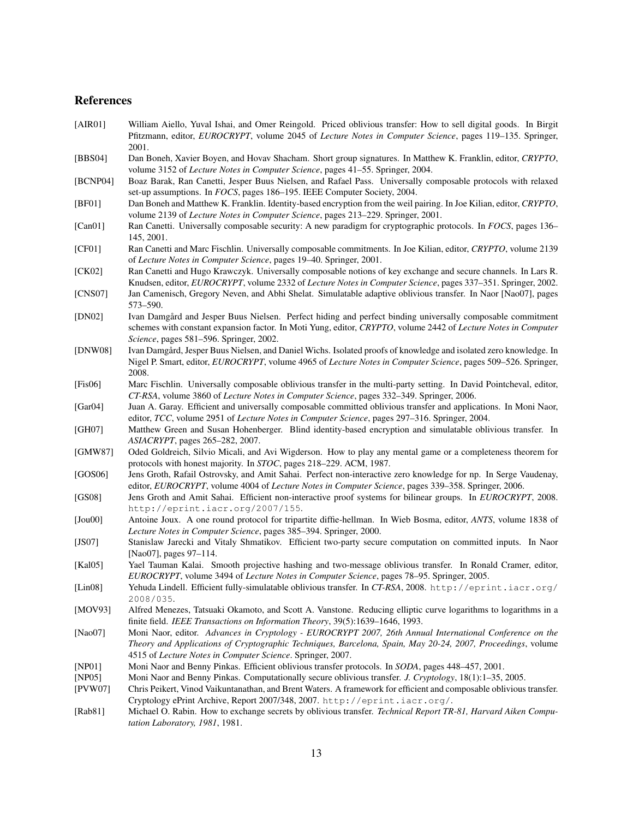# References

| [AIR01]     | William Aiello, Yuval Ishai, and Omer Reingold. Priced oblivious transfer: How to sell digital goods. In Birgit<br>Pfitzmann, editor, EUROCRYPT, volume 2045 of Lecture Notes in Computer Science, pages 119-135. Springer,<br>2001.                                                 |
|-------------|--------------------------------------------------------------------------------------------------------------------------------------------------------------------------------------------------------------------------------------------------------------------------------------|
| [BBS04]     | Dan Boneh, Xavier Boyen, and Hovav Shacham. Short group signatures. In Matthew K. Franklin, editor, CRYPTO,<br>volume 3152 of Lecture Notes in Computer Science, pages 41-55. Springer, 2004.                                                                                        |
| [BCNP04]    | Boaz Barak, Ran Canetti, Jesper Buus Nielsen, and Rafael Pass. Universally composable protocols with relaxed<br>set-up assumptions. In FOCS, pages 186–195. IEEE Computer Society, 2004.                                                                                             |
| [BF01]      | Dan Boneh and Matthew K. Franklin. Identity-based encryption from the weil pairing. In Joe Kilian, editor, CRYPTO,<br>volume 2139 of Lecture Notes in Computer Science, pages 213-229. Springer, 2001.                                                                               |
| [Can01]     | Ran Canetti. Universally composable security: A new paradigm for cryptographic protocols. In FOCS, pages 136–<br>145, 2001.                                                                                                                                                          |
| [CF01]      | Ran Canetti and Marc Fischlin. Universally composable commitments. In Joe Kilian, editor, CRYPTO, volume 2139<br>of Lecture Notes in Computer Science, pages 19-40. Springer, 2001.                                                                                                  |
| [CK02]      | Ran Canetti and Hugo Krawczyk. Universally composable notions of key exchange and secure channels. In Lars R.<br>Knudsen, editor, EUROCRYPT, volume 2332 of Lecture Notes in Computer Science, pages 337-351. Springer, 2002.                                                        |
| [CNS07]     | Jan Camenisch, Gregory Neven, and Abhi Shelat. Simulatable adaptive oblivious transfer. In Naor [Nao07], pages<br>573-590.                                                                                                                                                           |
| [DN02]      | Ivan Damgård and Jesper Buus Nielsen. Perfect hiding and perfect binding universally composable commitment<br>schemes with constant expansion factor. In Moti Yung, editor, CRYPTO, volume 2442 of Lecture Notes in Computer<br>Science, pages 581–596. Springer, 2002.              |
| [DNW08]     | Ivan Damgård, Jesper Buus Nielsen, and Daniel Wichs. Isolated proofs of knowledge and isolated zero knowledge. In<br>Nigel P. Smart, editor, EUROCRYPT, volume 4965 of Lecture Notes in Computer Science, pages 509-526. Springer,<br>2008.                                          |
| [Fis06]     | Marc Fischlin. Universally composable oblivious transfer in the multi-party setting. In David Pointcheval, editor,<br>CT-RSA, volume 3860 of Lecture Notes in Computer Science, pages 332-349. Springer, 2006.                                                                       |
| [Gar $04$ ] | Juan A. Garay. Efficient and universally composable committed oblivious transfer and applications. In Moni Naor,<br>editor, TCC, volume 2951 of Lecture Notes in Computer Science, pages 297-316. Springer, 2004.                                                                    |
| [GH07]      | Matthew Green and Susan Hohenberger. Blind identity-based encryption and simulatable oblivious transfer. In<br>ASIACRYPT, pages 265-282, 2007.                                                                                                                                       |
| [GMW87]     | Oded Goldreich, Silvio Micali, and Avi Wigderson. How to play any mental game or a completeness theorem for<br>protocols with honest majority. In STOC, pages 218-229. ACM, 1987.                                                                                                    |
| [GOS06]     | Jens Groth, Rafail Ostrovsky, and Amit Sahai. Perfect non-interactive zero knowledge for np. In Serge Vaudenay,<br>editor, EUROCRYPT, volume 4004 of Lecture Notes in Computer Science, pages 339-358. Springer, 2006.                                                               |
| [GS08]      | Jens Groth and Amit Sahai. Efficient non-interactive proof systems for bilinear groups. In EUROCRYPT, 2008.<br>http://eprint.iacr.org/2007/155.                                                                                                                                      |
| [Jou00]     | Antoine Joux. A one round protocol for tripartite diffie-hellman. In Wieb Bosma, editor, ANTS, volume 1838 of<br>Lecture Notes in Computer Science, pages 385-394. Springer, 2000.                                                                                                   |
| [JS07]      | Stanislaw Jarecki and Vitaly Shmatikov. Efficient two-party secure computation on committed inputs. In Naor<br>[Nao07], pages 97-114.                                                                                                                                                |
| [Kal05]     | Yael Tauman Kalai. Smooth projective hashing and two-message oblivious transfer. In Ronald Cramer, editor,<br>EUROCRYPT, volume 3494 of Lecture Notes in Computer Science, pages 78-95. Springer, 2005.                                                                              |
| [Lin08]     | Yehuda Lindell. Efficient fully-simulatable oblivious transfer. In CT-RSA, 2008. http://eprint.iacr.org/<br>2008/035.                                                                                                                                                                |
| [MOV93]     | Alfred Menezes, Tatsuaki Okamoto, and Scott A. Vanstone. Reducing elliptic curve logarithms to logarithms in a<br>finite field. IEEE Transactions on Information Theory, 39(5):1639-1646, 1993.                                                                                      |
| [ $Nao07$ ] | Moni Naor, editor. Advances in Cryptology - EUROCRYPT 2007, 26th Annual International Conference on the<br>Theory and Applications of Cryptographic Techniques, Barcelona, Spain, May 20-24, 2007, Proceedings, volume<br>4515 of Lecture Notes in Computer Science. Springer, 2007. |
| [NPO1]      | Moni Naor and Benny Pinkas. Efficient oblivious transfer protocols. In SODA, pages 448–457, 2001.                                                                                                                                                                                    |
| [NP05]      | Moni Naor and Benny Pinkas. Computationally secure oblivious transfer. J. Cryptology, 18(1):1-35, 2005.                                                                                                                                                                              |
| [PVW07]     | Chris Peikert, Vinod Vaikuntanathan, and Brent Waters. A framework for efficient and composable oblivious transfer.<br>Cryptology ePrint Archive, Report 2007/348, 2007. http://eprint.iacr.org/.                                                                                    |
| [ $Rab81$ ] | Michael O. Rabin. How to exchange secrets by oblivious transfer. Technical Report TR-81, Harvard Aiken Compu-<br>tation Laboratory, 1981, 1981.                                                                                                                                      |